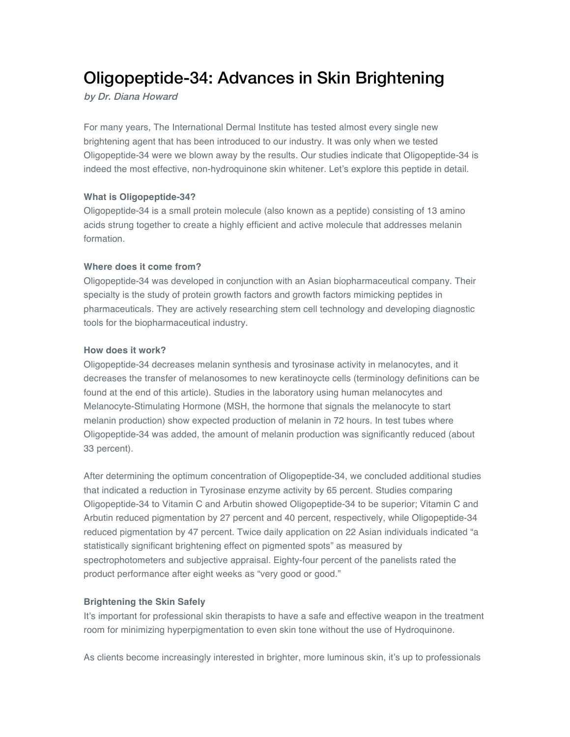# Oligopeptide-34: Advances in Skin Brightening

by Dr. Diana Howard

For many years, The International Dermal Institute has tested almost every single new brightening agent that has been introduced to our industry. It was only when we tested Oligopeptide-34 were we blown away by the results. Our studies indicate that Oligopeptide-34 is indeed the most effective, non-hydroquinone skin whitener. Let's explore this peptide in detail.

#### **What is Oligopeptide-34?**

Oligopeptide-34 is a small protein molecule (also known as a peptide) consisting of 13 amino acids strung together to create a highly efficient and active molecule that addresses melanin formation.

#### **Where does it come from?**

Oligopeptide-34 was developed in conjunction with an Asian biopharmaceutical company. Their specialty is the study of protein growth factors and growth factors mimicking peptides in pharmaceuticals. They are actively researching stem cell technology and developing diagnostic tools for the biopharmaceutical industry.

#### **How does it work?**

Oligopeptide-34 decreases melanin synthesis and tyrosinase activity in melanocytes, and it decreases the transfer of melanosomes to new keratinoycte cells (terminology definitions can be found at the end of this article). Studies in the laboratory using human melanocytes and Melanocyte-Stimulating Hormone (MSH, the hormone that signals the melanocyte to start melanin production) show expected production of melanin in 72 hours. In test tubes where Oligopeptide-34 was added, the amount of melanin production was significantly reduced (about 33 percent).

After determining the optimum concentration of Oligopeptide-34, we concluded additional studies that indicated a reduction in Tyrosinase enzyme activity by 65 percent. Studies comparing Oligopeptide-34 to Vitamin C and Arbutin showed Oligopeptide-34 to be superior; Vitamin C and Arbutin reduced pigmentation by 27 percent and 40 percent, respectively, while Oligopeptide-34 reduced pigmentation by 47 percent. Twice daily application on 22 Asian individuals indicated "a statistically significant brightening effect on pigmented spots" as measured by spectrophotometers and subjective appraisal. Eighty-four percent of the panelists rated the product performance after eight weeks as "very good or good."

## **Brightening the Skin Safely**

It's important for professional skin therapists to have a safe and effective weapon in the treatment room for minimizing hyperpigmentation to even skin tone without the use of Hydroquinone.

As clients become increasingly interested in brighter, more luminous skin, it's up to professionals